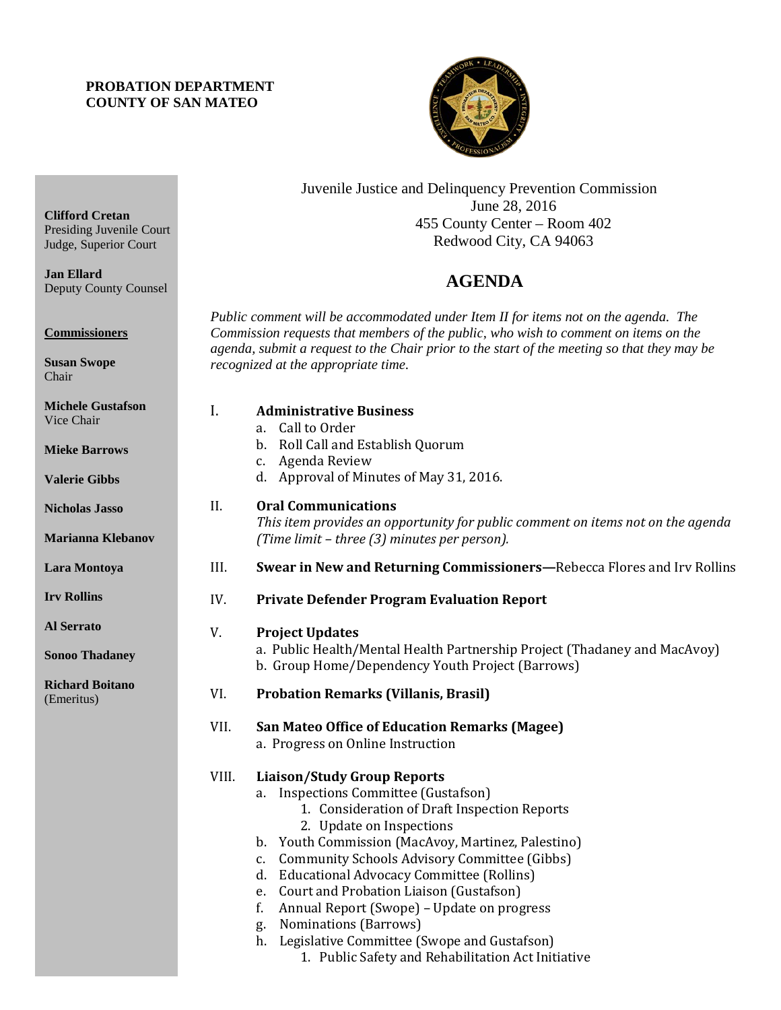## **PROBATION DEPARTMENT COUNTY OF SAN MATEO**

**Clifford Cretan**

**Commissioners**

**Susan Swope** Chair

**Jan Ellard**

Presiding Juvenile Court Judge, Superior Court

Deputy County Counsel



Juvenile Justice and Delinquency Prevention Commission June 28, 2016 455 County Center – Room 402 Redwood City, CA 94063

# **AGENDA**

*Public comment will be accommodated under Item II for items not on the agenda. The Commission requests that members of the public, who wish to comment on items on the agenda, submit a request to the Chair prior to the start of the meeting so that they may be recognized at the appropriate time.* 

| <b>Michele Gustafson</b><br>Vice Chair<br><b>Mieke Barrows</b><br><b>Valerie Gibbs</b> | I.    | <b>Administrative Business</b><br>Call to Order<br>a.<br>Roll Call and Establish Quorum<br>b.<br>c. Agenda Review<br>d. Approval of Minutes of May 31, 2016.                                                                                                                                                                                                                                                                                                                                                                                                               |
|----------------------------------------------------------------------------------------|-------|----------------------------------------------------------------------------------------------------------------------------------------------------------------------------------------------------------------------------------------------------------------------------------------------------------------------------------------------------------------------------------------------------------------------------------------------------------------------------------------------------------------------------------------------------------------------------|
| Nicholas Jasso<br><b>Marianna Klebanov</b>                                             | II.   | <b>Oral Communications</b><br>This item provides an opportunity for public comment on items not on the agenda<br>(Time limit – three (3) minutes per person).                                                                                                                                                                                                                                                                                                                                                                                                              |
| Lara Montoya                                                                           | III.  | Swear in New and Returning Commissioners-Rebecca Flores and Irv Rollins                                                                                                                                                                                                                                                                                                                                                                                                                                                                                                    |
| <b>Irv Rollins</b>                                                                     | IV.   | <b>Private Defender Program Evaluation Report</b>                                                                                                                                                                                                                                                                                                                                                                                                                                                                                                                          |
| <b>Al Serrato</b><br><b>Sonoo Thadaney</b>                                             | V.    | <b>Project Updates</b><br>a. Public Health/Mental Health Partnership Project (Thadaney and MacAvoy)<br>b. Group Home/Dependency Youth Project (Barrows)                                                                                                                                                                                                                                                                                                                                                                                                                    |
| <b>Richard Boitano</b><br>(Emeritus)                                                   | VI.   | <b>Probation Remarks (Villanis, Brasil)</b>                                                                                                                                                                                                                                                                                                                                                                                                                                                                                                                                |
|                                                                                        | VII.  | <b>San Mateo Office of Education Remarks (Magee)</b><br>a. Progress on Online Instruction                                                                                                                                                                                                                                                                                                                                                                                                                                                                                  |
|                                                                                        | VIII. | <b>Liaison/Study Group Reports</b><br>a. Inspections Committee (Gustafson)<br>1. Consideration of Draft Inspection Reports<br>2. Update on Inspections<br>Youth Commission (MacAvoy, Martinez, Palestino)<br>b.<br><b>Community Schools Advisory Committee (Gibbs)</b><br>c.<br>d. Educational Advocacy Committee (Rollins)<br>Court and Probation Liaison (Gustafson)<br>e.<br>Annual Report (Swope) – Update on progress<br>f.<br>Nominations (Barrows)<br>g.<br>Legislative Committee (Swope and Gustafson)<br>h.<br>1. Public Safety and Rehabilitation Act Initiative |